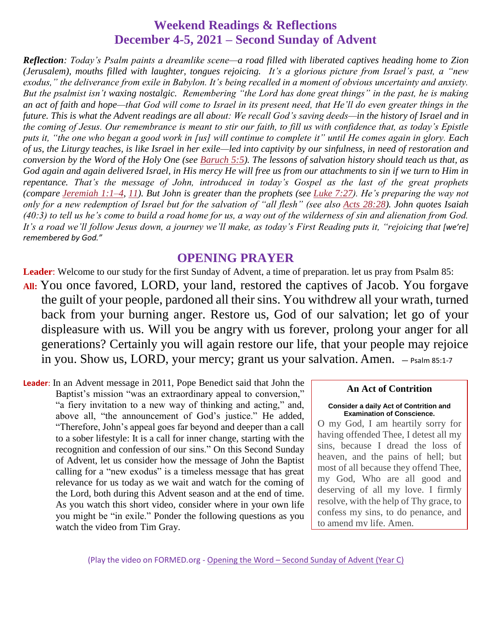#### **Weekend Readings & Reflections December 4-5, 2021 – Second Sunday of Advent**

*Reflection: Today's Psalm paints a dreamlike scene—a road filled with liberated captives heading home to Zion (Jerusalem), mouths filled with laughter, tongues rejoicing. It's a glorious picture from Israel's past, a "new exodus," the deliverance from exile in Babylon. It's being recalled in a moment of obvious uncertainty and anxiety. But the psalmist isn't waxing nostalgic. Remembering "the Lord has done great things" in the past, he is making*  an act of faith and hope—that God will come to Israel in its present need, that He'll do even greater things in the *future. This is what the Advent readings are all about: We recall God's saving deeds—in the history of Israel and in the coming of Jesus. Our remembrance is meant to stir our faith, to fill us with confidence that, as today's Epistle puts it, "the one who began a good work in [us] will continue to complete it" until He comes again in glory. Each of us, the Liturgy teaches, is like Israel in her exile—led into captivity by our sinfulness, in need of restoration and conversion by the Word of the Holy One (see [Baruch](https://biblia.com/bible/rsvce/Baruch%205.5) 5:5). The lessons of salvation history should teach us that, as God again and again delivered Israel, in His mercy He will free us from our attachments to sin if we turn to Him in repentance. That's the message of John, introduced in today's Gospel as the last of the great prophets (compare [Jeremiah](https://biblia.com/bible/rsvce/Jer%201.1%E2%80%934) 1:1–4, [11\)](https://biblia.com/bible/rsvce/Jeremiah%201.11). But John is greater than the prophets (see Luke [7:27\)](https://biblia.com/bible/rsvce/Luke%207.27). He's preparing the way not only for a new redemption of Israel but for the salvation of "all flesh" (see also Acts [28:28\)](https://biblia.com/bible/rsvce/Acts%2028.28). John quotes Isaiah (40:3) to tell us he's come to build a road home for us, a way out of the wilderness of sin and alienation from God. It's a road we'll follow Jesus down, a journey we'll make, as today's First Reading puts it, "rejoicing that [we're] remembered by God."*

#### **OPENING PRAYER**

**Leader**: Welcome to our study for the first Sunday of Advent, a time of preparation. let us pray from Psalm 85: **All:** You once favored, LORD, your land, restored the captives of Jacob. You forgave the guilt of your people, pardoned all their sins. You withdrew all your wrath, turned back from your burning anger. Restore us, God of our salvation; let go of your displeasure with us. Will you be angry with us forever, prolong your anger for all generations? Certainly you will again restore our life, that your people may rejoice in you. Show us, LORD, your mercy; grant us your salvation. Amen. — Psalm 85:1-7

**Leader**: In an Advent message in 2011, Pope Benedict said that John the Baptist's mission "was an extraordinary appeal to conversion," "a fiery invitation to a new way of thinking and acting," and, above all, "the announcement of God's justice." He added, "Therefore, John's appeal goes far beyond and deeper than a call to a sober lifestyle: It is a call for inner change, starting with the recognition and confession of our sins." On this Second Sunday of Advent, let us consider how the message of John the Baptist calling for a "new exodus" is a timeless message that has great relevance for us today as we wait and watch for the coming of the Lord, both during this Advent season and at the end of time. As you watch this short video, consider where in your own life you might be "in exile." Ponder the following questions as you watch the video from Tim Gray.

#### **An Act of Contrition**

#### **Consider a daily Act of Contrition and Examination of Conscience.**

O my God, I am heartily sorry for having offended Thee, I detest all my sins, because I dread the loss of heaven, and the pains of hell; but most of all because they offend Thee, my God, Who are all good and deserving of all my love. I firmly resolve, with the help of Thy grace, to confess my sins, to do penance, and to amend my life. Amen.

(Play the video on FORMED.org - Opening the Word – [Second Sunday of Advent \(Year C\)](https://watch.formed.org/opening-the-word-1/season:3/videos/2nd-sunday-of-advent-december-9-2018)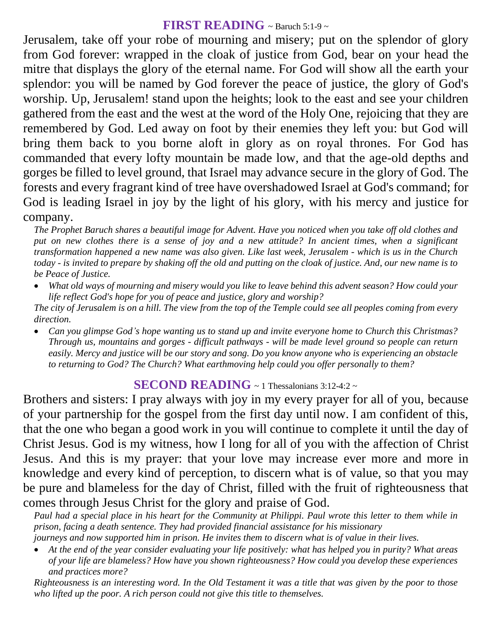## **FIRST READING** ~ Baruch 5:1-9 ~

Jerusalem, take off your robe of mourning and misery; put on the splendor of glory from God forever: wrapped in the cloak of justice from God, bear on your head the mitre that displays the glory of the eternal name. For God will show all the earth your splendor: you will be named by God forever the peace of justice, the glory of God's worship. Up, Jerusalem! stand upon the heights; look to the east and see your children gathered from the east and the west at the word of the Holy One, rejoicing that they are remembered by God. Led away on foot by their enemies they left you: but God will bring them back to you borne aloft in glory as on royal thrones. For God has commanded that every lofty mountain be made low, and that the age-old depths and gorges be filled to level ground, that Israel may advance secure in the glory of God. The forests and every fragrant kind of tree have overshadowed Israel at God's command; for God is leading Israel in joy by the light of his glory, with his mercy and justice for company.

*The Prophet Baruch shares a beautiful image for Advent. Have you noticed when you take off old clothes and put on new clothes there is a sense of joy and a new attitude? In ancient times, when a significant transformation happened a new name was also given. Like last week, Jerusalem - which is us in the Church today - is invited to prepare by shaking off the old and putting on the cloak of justice. And, our new name is to be Peace of Justice.* 

 *What old ways of mourning and misery would you like to leave behind this advent season? How could your life reflect God's hope for you of peace and justice, glory and worship?*

*The city of Jerusalem is on a hill. The view from the top of the Temple could see all peoples coming from every direction.* 

 *Can you glimpse God's hope wanting us to stand up and invite everyone home to Church this Christmas? Through us, mountains and gorges - difficult pathways - will be made level ground so people can return easily. Mercy and justice will be our story and song. Do you know anyone who is experiencing an obstacle to returning to God? The Church? What earthmoving help could you offer personally to them?*

#### **SECOND READING** ~ 1 Thessalonians 3:12-4:2 ~

Brothers and sisters: I pray always with joy in my every prayer for all of you, because of your partnership for the gospel from the first day until now. I am confident of this, that the one who began a good work in you will continue to complete it until the day of Christ Jesus. God is my witness, how I long for all of you with the affection of Christ Jesus. And this is my prayer: that your love may increase ever more and more in knowledge and every kind of perception, to discern what is of value, so that you may be pure and blameless for the day of Christ, filled with the fruit of righteousness that comes through Jesus Christ for the glory and praise of God.

*Paul had a special place in his heart for the Community at Philippi. Paul wrote this letter to them while in prison, facing a death sentence. They had provided financial assistance for his missionary journeys and now supported him in prison. He invites them to discern what is of value in their lives.* 

 *At the end of the year consider evaluating your life positively: what has helped you in purity? What areas of your life are blameless? How have you shown righteousness? How could you develop these experiences and practices more?*

*Righteousness is an interesting word. In the Old Testament it was a title that was given by the poor to those who lifted up the poor. A rich person could not give this title to themselves.*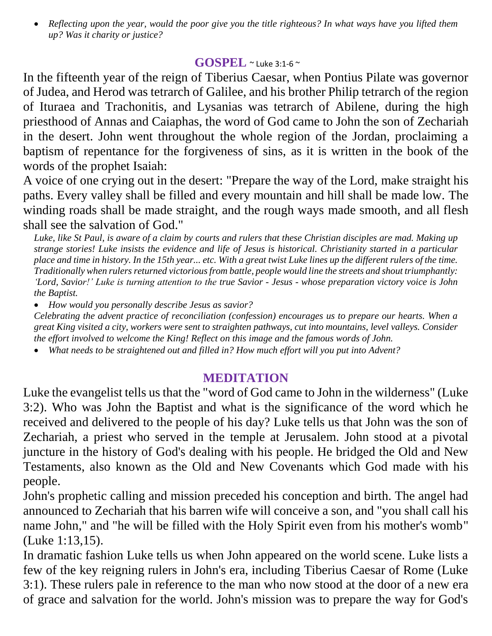*Reflecting upon the year, would the poor give you the title righteous? In what ways have you lifted them up? Was it charity or justice?*

### **GOSPEL** ~ Luke 3:1-6 <sup>~</sup>

In the fifteenth year of the reign of Tiberius Caesar, when Pontius Pilate was governor of Judea, and Herod was tetrarch of Galilee, and his brother Philip tetrarch of the region of Ituraea and Trachonitis, and Lysanias was tetrarch of Abilene, during the high priesthood of Annas and Caiaphas, the word of God came to John the son of Zechariah in the desert. John went throughout the whole region of the Jordan, proclaiming a baptism of repentance for the forgiveness of sins, as it is written in the book of the words of the prophet Isaiah:

A voice of one crying out in the desert: "Prepare the way of the Lord, make straight his paths. Every valley shall be filled and every mountain and hill shall be made low. The winding roads shall be made straight, and the rough ways made smooth, and all flesh shall see the salvation of God."

*Luke, like St Paul, is aware of a claim by courts and rulers that these Christian disciples are mad. Making up strange stories! Luke insists the evidence and life of Jesus is historical. Christianity started in a particular place and time in history. In the 15th year... etc. With a great twist Luke lines up the different rulers of the time. Traditionally when rulers returned victorious from battle, people would line the streets and shout triumphantly: ʻLord, Savior!' Luke is turning attention to the true Savior - Jesus - whose preparation victory voice is John the Baptist.* 

*How would you personally describe Jesus as savior?*

*Celebrating the advent practice of reconciliation (confession) encourages us to prepare our hearts. When a great King visited a city, workers were sent to straighten pathways, cut into mountains, level valleys. Consider the effort involved to welcome the King! Reflect on this image and the famous words of John.*

*What needs to be straightened out and filled in? How much effort will you put into Advent?*

#### **MEDITATION**

Luke the evangelist tells us that the "word of God came to John in the wilderness" (Luke 3:2). Who was John the Baptist and what is the significance of the word which he received and delivered to the people of his day? Luke tells us that John was the son of Zechariah, a priest who served in the temple at Jerusalem. John stood at a pivotal juncture in the history of God's dealing with his people. He bridged the Old and New Testaments, also known as the Old and New Covenants which God made with his people.

John's prophetic calling and mission preceded his conception and birth. The angel had announced to Zechariah that his barren wife will conceive a son, and "you shall call his name John," and "he will be filled with the Holy Spirit even from his mother's womb" (Luke 1:13,15).

In dramatic fashion Luke tells us when John appeared on the world scene. Luke lists a few of the key reigning rulers in John's era, including Tiberius Caesar of Rome (Luke 3:1). These rulers pale in reference to the man who now stood at the door of a new era of grace and salvation for the world. John's mission was to prepare the way for God's